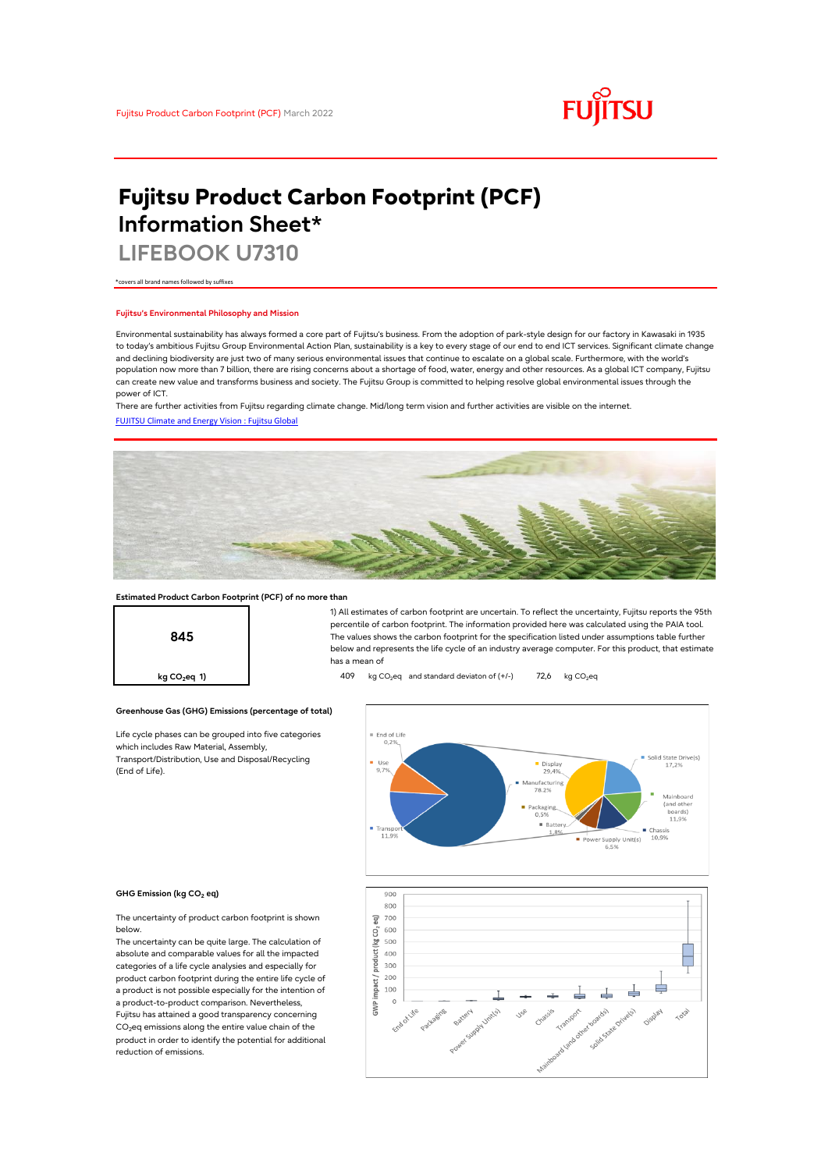

# **Fujitsu Product Carbon Footprint (PCF) Information Sheet\***

**LIFEBOOK U7310**

\*covers all brand names followed by suffixes

## **Fujitsu's Environmental Philosophy and Mission**

Environmental sustainability has always formed a core part of Fujitsu's business. From the adoption of park-style design for our factory in Kawasaki in 1935 to today's ambitious Fujitsu Group Environmental Action Plan, sustainability is a key to every stage of our end to end ICT services. Significant climate change and declining biodiversity are just two of many serious environmental issues that continue to escalate on a global scale. Furthermore, with the world's population now more than 7 billion, there are rising concerns about a shortage of food, water, energy and other resources. As a global ICT company, Fujitsu can create new value and transforms business and society. The Fujitsu Group is committed to helping resolve global environmental issues through the power of ICT.

[FUJITSU Climate and Energy Vision : Fujitsu Global](https://www.fujitsu.com/global/about/environment/climate-energy-vision/) There are further activities from Fujitsu regarding climate change. Mid/long term vision and further activities are visible on the internet.



## **Estimated Product Carbon Footprint (PCF) of no more than**

**Greenhouse Gas (GHG) Emissions (percentage of total)**

Life cycle phases can be grouped into five categories

which includes Raw Material, Assembly, Transport/Distribution, Use and Disposal/Recycling



1) All estimates of carbon footprint are uncertain. To reflect the uncertainty, Fujitsu reports the 95th percentile of carbon footprint. The information provided here was calculated using the PAIA tool. The values shows the carbon footprint for the specification listed under assumptions table further below and represents the life cycle of an industry average computer. For this product, that estimate has a mean of

**kg CO<sub>2</sub>eq 1) 409** kg CO<sub>2</sub>eq and standard deviaton of (+/-) 72,6 kg CO<sub>2</sub>eq



### **GHG Emission (kg CO2 eq)**

(End of Life).

The uncertainty of product carbon footprint is shown below.

The uncertainty can be quite large. The calculation of absolute and comparable values for all the impacted categories of a life cycle analysies and especially for product carbon footprint during the entire life cycle of a product is not possible especially for the intention of a product-to-product comparison. Nevertheless, Fujitsu has attained a good transparency concerning CO<sub>2</sub>eq emissions along the entire value chain of the product in order to identify the potential for additional reduction of emissions.